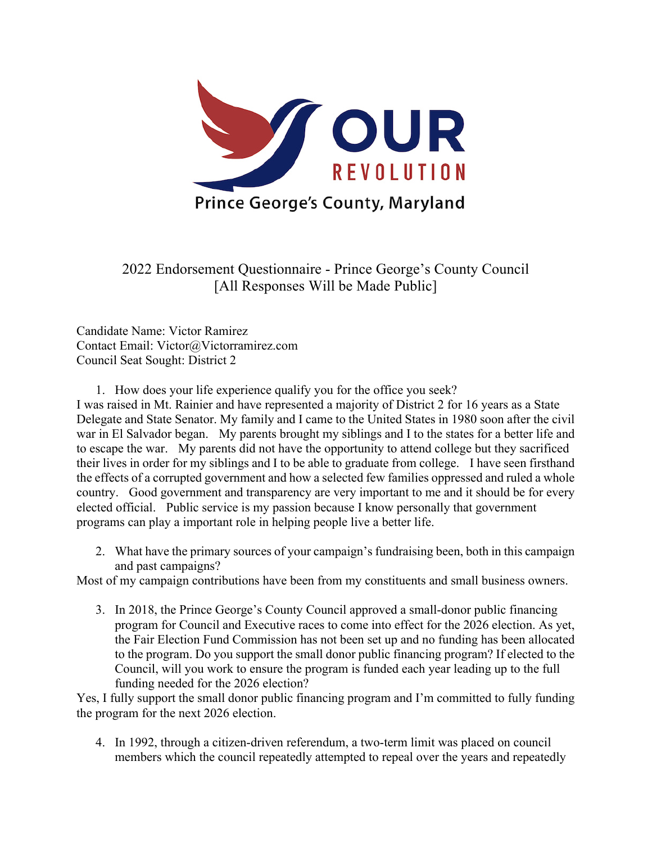

2022 Endorsement Questionnaire - Prince George's County Council [All Responses Will be Made Public]

Candidate Name: Victor Ramirez Contact Email: Victor@Victorramirez.com Council Seat Sought: District 2

1. How does your life experience qualify you for the office you seek?

I was raised in Mt. Rainier and have represented a majority of District 2 for 16 years as a State Delegate and State Senator. My family and I came to the United States in 1980 soon after the civil war in El Salvador began. My parents brought my siblings and I to the states for a better life and to escape the war. My parents did not have the opportunity to attend college but they sacrificed their lives in order for my siblings and I to be able to graduate from college. I have seen firsthand the effects of a corrupted government and how a selected few families oppressed and ruled a whole country. Good government and transparency are very important to me and it should be for every elected official. Public service is my passion because I know personally that government programs can play a important role in helping people live a better life.

2. What have the primary sources of your campaign's fundraising been, both in this campaign and past campaigns?

Most of my campaign contributions have been from my constituents and small business owners.

3. In 2018, the Prince George's County Council approved a small-donor public financing program for Council and Executive races to come into effect for the 2026 election. As yet, the Fair Election Fund Commission has not been set up and no funding has been allocated to the program. Do you support the small donor public financing program? If elected to the Council, will you work to ensure the program is funded each year leading up to the full funding needed for the 2026 election?

Yes, I fully support the small donor public financing program and I'm committed to fully funding the program for the next 2026 election.

4. In 1992, through a citizen-driven referendum, a two-term limit was placed on council members which the council repeatedly attempted to repeal over the years and repeatedly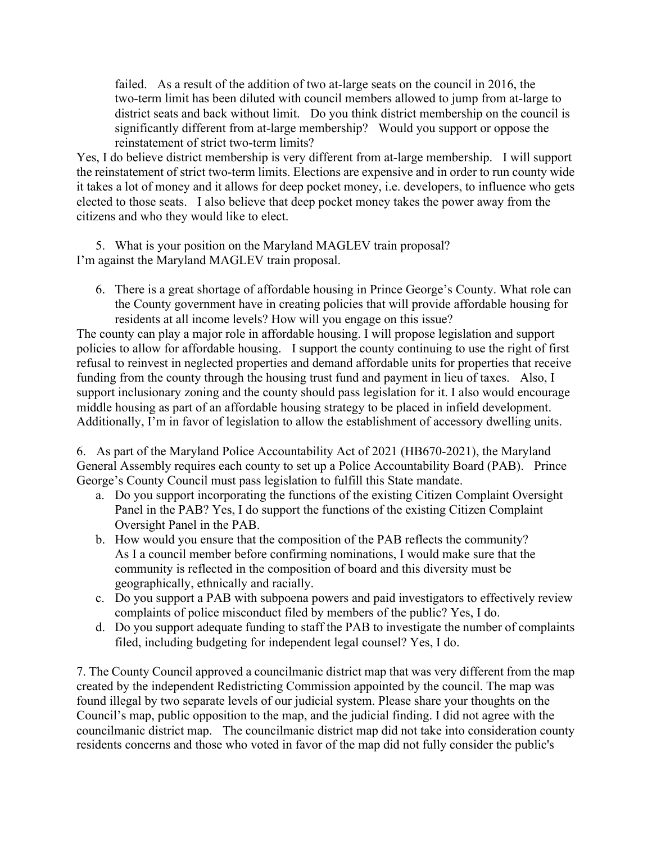failed. As a result of the addition of two at-large seats on the council in 2016, the two-term limit has been diluted with council members allowed to jump from at-large to district seats and back without limit. Do you think district membership on the council is significantly different from at-large membership? Would you support or oppose the reinstatement of strict two-term limits?

Yes, I do believe district membership is very different from at-large membership. I will support the reinstatement of strict two-term limits. Elections are expensive and in order to run county wide it takes a lot of money and it allows for deep pocket money, i.e. developers, to influence who gets elected to those seats. I also believe that deep pocket money takes the power away from the citizens and who they would like to elect.

5. What is your position on the Maryland MAGLEV train proposal? I'm against the Maryland MAGLEV train proposal.

6. There is a great shortage of affordable housing in Prince George's County. What role can the County government have in creating policies that will provide affordable housing for residents at all income levels? How will you engage on this issue?

The county can play a major role in affordable housing. I will propose legislation and support policies to allow for affordable housing. I support the county continuing to use the right of first refusal to reinvest in neglected properties and demand affordable units for properties that receive funding from the county through the housing trust fund and payment in lieu of taxes. Also, I support inclusionary zoning and the county should pass legislation for it. I also would encourage middle housing as part of an affordable housing strategy to be placed in infield development. Additionally, I'm in favor of legislation to allow the establishment of accessory dwelling units.

6. As part of the Maryland Police Accountability Act of 2021 (HB670-2021), the Maryland General Assembly requires each county to set up a Police Accountability Board (PAB). Prince George's County Council must pass legislation to fulfill this State mandate.

- a. Do you support incorporating the functions of the existing Citizen Complaint Oversight Panel in the PAB? Yes, I do support the functions of the existing Citizen Complaint Oversight Panel in the PAB.
- b. How would you ensure that the composition of the PAB reflects the community? As I a council member before confirming nominations, I would make sure that the community is reflected in the composition of board and this diversity must be geographically, ethnically and racially.
- c. Do you support a PAB with subpoena powers and paid investigators to effectively review complaints of police misconduct filed by members of the public? Yes, I do.
- d. Do you support adequate funding to staff the PAB to investigate the number of complaints filed, including budgeting for independent legal counsel? Yes, I do.

7. The County Council approved a councilmanic district map that was very different from the map created by the independent Redistricting Commission appointed by the council. The map was found illegal by two separate levels of our judicial system. Please share your thoughts on the Council's map, public opposition to the map, and the judicial finding. I did not agree with the councilmanic district map. The councilmanic district map did not take into consideration county residents concerns and those who voted in favor of the map did not fully consider the public's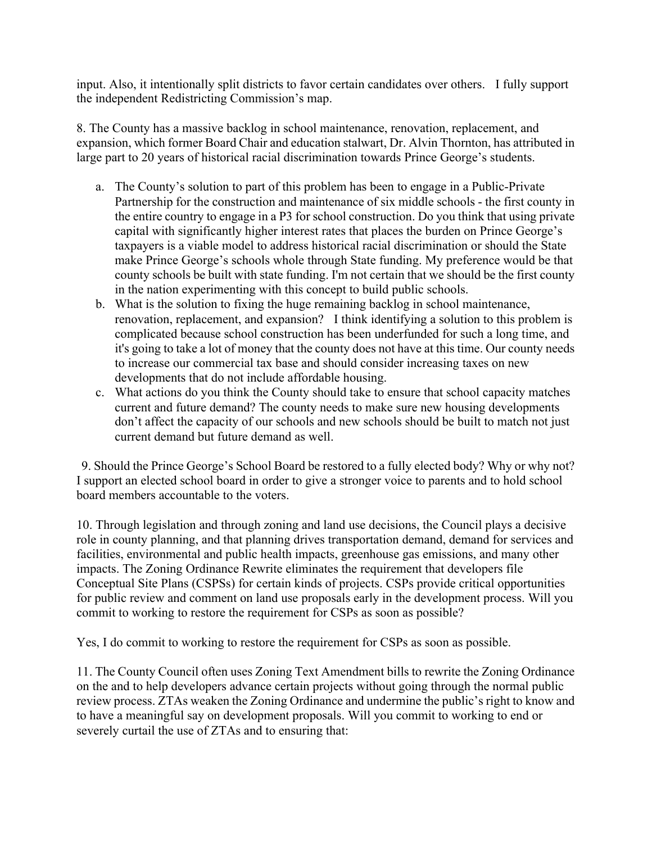input. Also, it intentionally split districts to favor certain candidates over others. I fully support the independent Redistricting Commission's map.

8. The County has a massive backlog in school maintenance, renovation, replacement, and expansion, which former Board Chair and education stalwart, Dr. Alvin Thornton, has attributed in large part to 20 years of historical racial discrimination towards Prince George's students.

- a. The County's solution to part of this problem has been to engage in a Public-Private Partnership for the construction and maintenance of six middle schools - the first county in the entire country to engage in a P3 for school construction. Do you think that using private capital with significantly higher interest rates that places the burden on Prince George's taxpayers is a viable model to address historical racial discrimination or should the State make Prince George's schools whole through State funding. My preference would be that county schools be built with state funding. I'm not certain that we should be the first county in the nation experimenting with this concept to build public schools.
- b. What is the solution to fixing the huge remaining backlog in school maintenance, renovation, replacement, and expansion? I think identifying a solution to this problem is complicated because school construction has been underfunded for such a long time, and it's going to take a lot of money that the county does not have at this time. Our county needs to increase our commercial tax base and should consider increasing taxes on new developments that do not include affordable housing.
- c. What actions do you think the County should take to ensure that school capacity matches current and future demand? The county needs to make sure new housing developments don't affect the capacity of our schools and new schools should be built to match not just current demand but future demand as well.

9. Should the Prince George's School Board be restored to a fully elected body? Why or why not? I support an elected school board in order to give a stronger voice to parents and to hold school board members accountable to the voters.

10. Through legislation and through zoning and land use decisions, the Council plays a decisive role in county planning, and that planning drives transportation demand, demand for services and facilities, environmental and public health impacts, greenhouse gas emissions, and many other impacts. The Zoning Ordinance Rewrite eliminates the requirement that developers file Conceptual Site Plans (CSPSs) for certain kinds of projects. CSPs provide critical opportunities for public review and comment on land use proposals early in the development process. Will you commit to working to restore the requirement for CSPs as soon as possible?

Yes, I do commit to working to restore the requirement for CSPs as soon as possible.

11. The County Council often uses Zoning Text Amendment bills to rewrite the Zoning Ordinance on the and to help developers advance certain projects without going through the normal public review process. ZTAs weaken the Zoning Ordinance and undermine the public's right to know and to have a meaningful say on development proposals. Will you commit to working to end or severely curtail the use of ZTAs and to ensuring that: